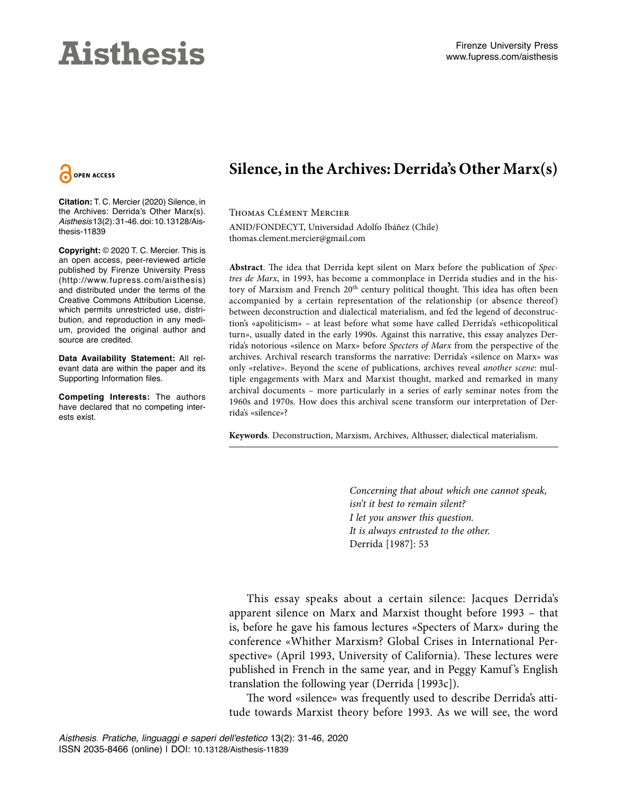# **Aisthesis**



**Citation:** T. C. Mercier (2020) Silence, in the Archives: Derrida's Other Marx(s). *Aisthesis* 13(2): 31-46. doi: 10.13128/Aisthesis-11839

**Copyright:** © 2020 T. C. Mercier. This is an open access, peer-reviewed article published by Firenze University Press (http://www.fupress.com/aisthesis) and distributed under the terms of the Creative Commons Attribution License, which permits unrestricted use, distribution, and reproduction in any medium, provided the original author and source are credited.

**Data Availability Statement:** All relevant data are within the paper and its Supporting Information files.

**Competing Interests:** The authors have declared that no competing interests exist.

## **Silence, in the Archives: Derrida's Other Marx(s)**

Thomas Clément Mercier ANID/FONDECYT, Universidad Adolfo Ibáñez (Chile) thomas.clement.mercier@gmail.com

**Abstract**. The idea that Derrida kept silent on Marx before the publication of *Spectres de Marx*, in 1993, has become a commonplace in Derrida studies and in the history of Marxism and French 20<sup>th</sup> century political thought. This idea has often been accompanied by a certain representation of the relationship (or absence thereof) between deconstruction and dialectical materialism, and fed the legend of deconstruction's «apoliticism» – at least before what some have called Derrida's «ethicopolitical turn», usually dated in the early 1990s. Against this narrative, this essay analyzes Derrida's notorious «silence on Marx» before *Specters of Marx* from the perspective of the archives. Archival research transforms the narrative: Derrida's «silence on Marx» was only «relative». Beyond the scene of publications, archives reveal *another scene*: multiple engagements with Marx and Marxist thought, marked and remarked in many archival documents – more particularly in a series of early seminar notes from the 1960s and 1970s. How does this archival scene transform our interpretation of Derrida's «silence»?

**Keywords**. Deconstruction, Marxism, Archives, Althusser, dialectical materialism.

*Concerning that about which one cannot speak, isn't it best to remain silent? I let you answer this question. It is always entrusted to the other.* Derrida [1987]: 53

This essay speaks about a certain silence: Jacques Derrida's apparent silence on Marx and Marxist thought before 1993 – that is, before he gave his famous lectures «Specters of Marx» during the conference «Whither Marxism? Global Crises in International Perspective» (April 1993, University of California). These lectures were published in French in the same year, and in Peggy Kamuf's English translation the following year (Derrida [1993c]).

The word «silence» was frequently used to describe Derrida's attitude towards Marxist theory before 1993. As we will see, the word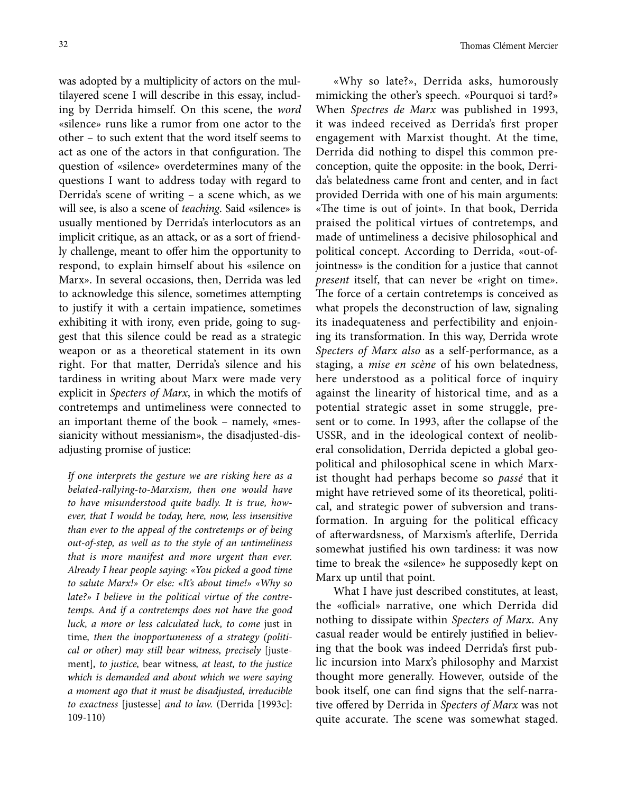was adopted by a multiplicity of actors on the multilayered scene I will describe in this essay, including by Derrida himself. On this scene, the *word* «silence» runs like a rumor from one actor to the other – to such extent that the word itself seems to act as one of the actors in that configuration. The question of «silence» overdetermines many of the questions I want to address today with regard to Derrida's scene of writing – a scene which, as we will see, is also a scene of *teaching*. Said «silence» is usually mentioned by Derrida's interlocutors as an implicit critique, as an attack, or as a sort of friendly challenge, meant to offer him the opportunity to respond, to explain himself about his «silence on Marx». In several occasions, then, Derrida was led to acknowledge this silence, sometimes attempting to justify it with a certain impatience, sometimes exhibiting it with irony, even pride, going to suggest that this silence could be read as a strategic weapon or as a theoretical statement in its own right. For that matter, Derrida's silence and his tardiness in writing about Marx were made very explicit in *Specters of Marx*, in which the motifs of contretemps and untimeliness were connected to an important theme of the book – namely, «messianicity without messianism», the disadjusted-disadjusting promise of justice:

*If one interprets the gesture we are risking here as a belated-rallying-to-Marxism, then one would have to have misunderstood quite badly. It is true, however, that I would be today, here, now, less insensitive than ever to the appeal of the contretemps or of being out-of-step, as well as to the style of an untimeliness that is more manifest and more urgent than ever. Already I hear people saying: «You picked a good time to salute Marx!» Or else: «It's about time!» «Why so late?» I believe in the political virtue of the contretemps. And if a contretemps does not have the good luck, a more or less calculated luck, to come* just in time*, then the inopportuneness of a strategy (political or other) may still bear witness, precisely* [justement]*, to justice,* bear witness*, at least, to the justice which is demanded and about which we were saying a moment ago that it must be disadjusted, irreducible to exactness* [justesse] *and to law.* (Derrida [1993c]: 109-110)

«Why so late?», Derrida asks, humorously mimicking the other's speech. «Pourquoi si tard?» When *Spectres de Marx* was published in 1993, it was indeed received as Derrida's first proper engagement with Marxist thought. At the time, Derrida did nothing to dispel this common preconception, quite the opposite: in the book, Derrida's belatedness came front and center, and in fact provided Derrida with one of his main arguments: «The time is out of joint». In that book, Derrida praised the political virtues of contretemps, and made of untimeliness a decisive philosophical and political concept. According to Derrida, «out-ofjointness» is the condition for a justice that cannot *present* itself, that can never be «right on time». The force of a certain contretemps is conceived as what propels the deconstruction of law, signaling its inadequateness and perfectibility and enjoining its transformation. In this way, Derrida wrote *Specters of Marx also* as a self-performance, as a staging, a *mise en scène* of his own belatedness, here understood as a political force of inquiry against the linearity of historical time, and as a potential strategic asset in some struggle, present or to come. In 1993, after the collapse of the USSR, and in the ideological context of neoliberal consolidation, Derrida depicted a global geopolitical and philosophical scene in which Marxist thought had perhaps become so *passé* that it might have retrieved some of its theoretical, political, and strategic power of subversion and transformation. In arguing for the political efficacy of afterwardsness, of Marxism's afterlife, Derrida somewhat justified his own tardiness: it was now time to break the «silence» he supposedly kept on Marx up until that point.

What I have just described constitutes, at least, the «official» narrative, one which Derrida did nothing to dissipate within *Specters of Marx*. Any casual reader would be entirely justified in believing that the book was indeed Derrida's first public incursion into Marx's philosophy and Marxist thought more generally. However, outside of the book itself, one can find signs that the self-narrative offered by Derrida in *Specters of Marx* was not quite accurate. The scene was somewhat staged.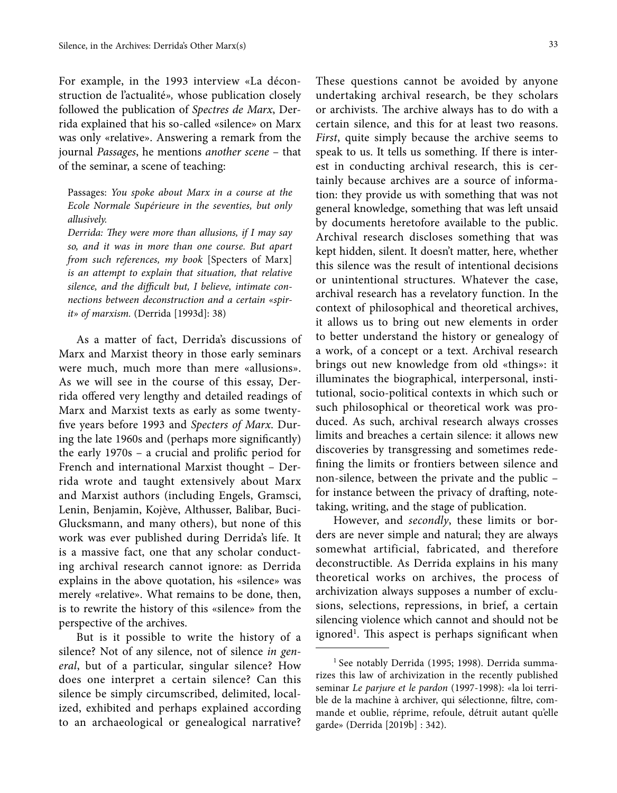For example, in the 1993 interview «La déconstruction de l'actualité*»,* whose publication closely followed the publication of *Spectres de Marx*, Derrida explained that his so-called «silence» on Marx was only «relative». Answering a remark from the journal *Passages*, he mentions *another scene* – that of the seminar, a scene of teaching:

Passages: *You spoke about Marx in a course at the Ecole Normale Supérieure in the seventies, but only allusively.*

*Derrida: They were more than allusions, if I may say so, and it was in more than one course. But apart from such references, my book* [Specters of Marx] *is an attempt to explain that situation, that relative silence, and the difficult but, I believe, intimate connections between deconstruction and a certain «spirit» of marxism.* (Derrida [1993d]: 38)

As a matter of fact, Derrida's discussions of Marx and Marxist theory in those early seminars were much, much more than mere «allusions». As we will see in the course of this essay, Derrida offered very lengthy and detailed readings of Marx and Marxist texts as early as some twentyfive years before 1993 and *Specters of Marx*. During the late 1960s and (perhaps more significantly) the early 1970s – a crucial and prolific period for French and international Marxist thought – Derrida wrote and taught extensively about Marx and Marxist authors (including Engels, Gramsci, Lenin, Benjamin, Kojève, Althusser, Balibar, Buci-Glucksmann, and many others), but none of this work was ever published during Derrida's life. It is a massive fact, one that any scholar conducting archival research cannot ignore: as Derrida explains in the above quotation, his «silence» was merely «relative». What remains to be done, then, is to rewrite the history of this «silence» from the perspective of the archives.

But is it possible to write the history of a silence? Not of any silence, not of silence *in general*, but of a particular, singular silence? How does one interpret a certain silence? Can this silence be simply circumscribed, delimited, localized, exhibited and perhaps explained according to an archaeological or genealogical narrative?

These questions cannot be avoided by anyone undertaking archival research, be they scholars or archivists. The archive always has to do with a certain silence, and this for at least two reasons. *First*, quite simply because the archive seems to speak to us. It tells us something. If there is interest in conducting archival research, this is certainly because archives are a source of information: they provide us with something that was not general knowledge, something that was left unsaid by documents heretofore available to the public. Archival research discloses something that was kept hidden, silent. It doesn't matter, here, whether this silence was the result of intentional decisions or unintentional structures. Whatever the case, archival research has a revelatory function. In the context of philosophical and theoretical archives, it allows us to bring out new elements in order to better understand the history or genealogy of a work, of a concept or a text. Archival research brings out new knowledge from old «things»: it illuminates the biographical, interpersonal, institutional, socio-political contexts in which such or such philosophical or theoretical work was produced. As such, archival research always crosses limits and breaches a certain silence: it allows new discoveries by transgressing and sometimes redefining the limits or frontiers between silence and non-silence, between the private and the public – for instance between the privacy of drafting, notetaking, writing, and the stage of publication.

However, and *secondly*, these limits or borders are never simple and natural; they are always somewhat artificial, fabricated, and therefore deconstructible. As Derrida explains in his many theoretical works on archives, the process of archivization always supposes a number of exclusions, selections, repressions, in brief, a certain silencing violence which cannot and should not be ignored<sup>1</sup>. This aspect is perhaps significant when

<sup>&</sup>lt;sup>1</sup> See notably Derrida (1995; 1998). Derrida summarizes this law of archivization in the recently published seminar *Le parjure et le pardon* (1997-1998): «la loi terrible de la machine à archiver, qui sélectionne, filtre, commande et oublie, réprime, refoule, détruit autant qu'elle garde» (Derrida [2019b] : 342).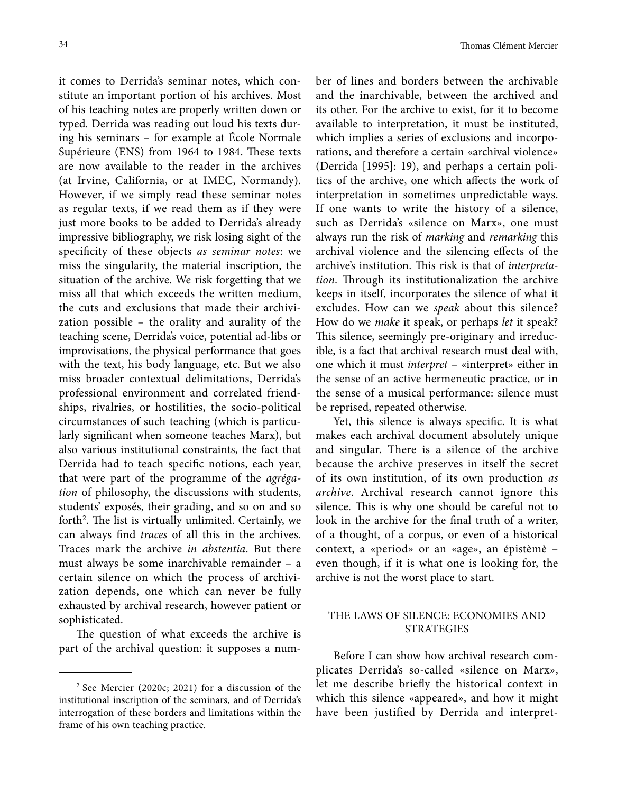it comes to Derrida's seminar notes, which constitute an important portion of his archives. Most of his teaching notes are properly written down or typed. Derrida was reading out loud his texts during his seminars – for example at École Normale Supérieure (ENS) from 1964 to 1984. These texts are now available to the reader in the archives (at Irvine, California, or at IMEC, Normandy). However, if we simply read these seminar notes as regular texts, if we read them as if they were just more books to be added to Derrida's already impressive bibliography, we risk losing sight of the specificity of these objects *as seminar notes*: we miss the singularity, the material inscription, the situation of the archive. We risk forgetting that we miss all that which exceeds the written medium, the cuts and exclusions that made their archivization possible – the orality and aurality of the teaching scene, Derrida's voice, potential ad-libs or improvisations, the physical performance that goes with the text, his body language, etc. But we also miss broader contextual delimitations, Derrida's professional environment and correlated friendships, rivalries, or hostilities, the socio-political circumstances of such teaching (which is particularly significant when someone teaches Marx), but also various institutional constraints, the fact that Derrida had to teach specific notions, each year, that were part of the programme of the *agrégation* of philosophy, the discussions with students, students' exposés, their grading, and so on and so forth<sup>2</sup>. The list is virtually unlimited. Certainly, we can always find *traces* of all this in the archives. Traces mark the archive *in abstentia*. But there must always be some inarchivable remainder – a certain silence on which the process of archivization depends, one which can never be fully exhausted by archival research, however patient or sophisticated.

The question of what exceeds the archive is part of the archival question: it supposes a number of lines and borders between the archivable and the inarchivable, between the archived and its other. For the archive to exist, for it to become available to interpretation, it must be instituted, which implies a series of exclusions and incorporations, and therefore a certain «archival violence» (Derrida [1995]: 19), and perhaps a certain politics of the archive, one which affects the work of interpretation in sometimes unpredictable ways. If one wants to write the history of a silence, such as Derrida's «silence on Marx», one must always run the risk of *marking* and *remarking* this archival violence and the silencing effects of the archive's institution. This risk is that of *interpretation*. Through its institutionalization the archive keeps in itself, incorporates the silence of what it excludes. How can we *speak* about this silence? How do we *make* it speak, or perhaps *let* it speak? This silence, seemingly pre-originary and irreducible, is a fact that archival research must deal with, one which it must *interpret* – «interpret» either in the sense of an active hermeneutic practice, or in the sense of a musical performance: silence must be reprised, repeated otherwise.

Yet, this silence is always specific. It is what makes each archival document absolutely unique and singular. There is a silence of the archive because the archive preserves in itself the secret of its own institution, of its own production *as archive*. Archival research cannot ignore this silence. This is why one should be careful not to look in the archive for the final truth of a writer, of a thought, of a corpus, or even of a historical context, a «period» or an «age», an épistèmè – even though, if it is what one is looking for, the archive is not the worst place to start.

### THE LAWS OF SILENCE: ECONOMIES AND STRATEGIES

Before I can show how archival research complicates Derrida's so-called «silence on Marx», let me describe briefly the historical context in which this silence «appeared», and how it might have been justified by Derrida and interpret-

<sup>2</sup> See Mercier (2020c; 2021) for a discussion of the institutional inscription of the seminars, and of Derrida's interrogation of these borders and limitations within the frame of his own teaching practice.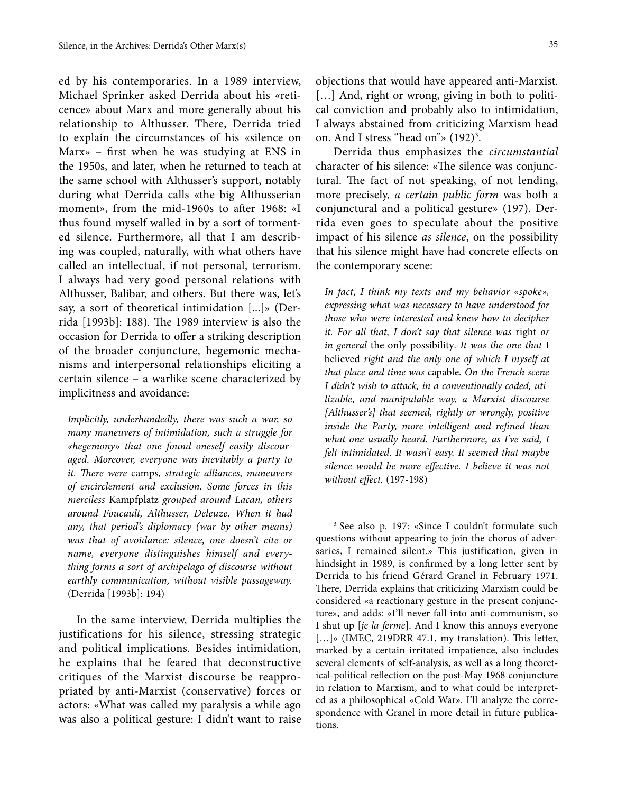ed by his contemporaries. In a 1989 interview, Michael Sprinker asked Derrida about his «reticence» about Marx and more generally about his relationship to Althusser. There, Derrida tried to explain the circumstances of his «silence on Marx» – first when he was studying at ENS in the 1950s, and later, when he returned to teach at the same school with Althusser's support, notably during what Derrida calls «the big Althusserian moment», from the mid-1960s to after 1968: «I thus found myself walled in by a sort of tormented silence. Furthermore, all that I am describing was coupled, naturally, with what others have called an intellectual, if not personal, terrorism. I always had very good personal relations with Althusser, Balibar, and others. But there was, let's say, a sort of theoretical intimidation [...]» (Derrida [1993b]: 188). The 1989 interview is also the occasion for Derrida to offer a striking description of the broader conjuncture, hegemonic mechanisms and interpersonal relationships eliciting a certain silence – a warlike scene characterized by implicitness and avoidance:

*Implicitly, underhandedly, there was such a war, so many maneuvers of intimidation, such a struggle for «hegemony» that one found oneself easily discouraged. Moreover, everyone was inevitably a party to it. There were* camps*, strategic alliances, maneuvers of encirclement and exclusion. Some forces in this merciless* Kampfplatz *grouped around Lacan, others around Foucault, Althusser, Deleuze. When it had any, that period's diplomacy (war by other means) was that of avoidance: silence, one doesn't cite or name, everyone distinguishes himself and everything forms a sort of archipelago of discourse without earthly communication, without visible passageway.*  (Derrida [1993b]: 194)

In the same interview, Derrida multiplies the justifications for his silence, stressing strategic and political implications. Besides intimidation, he explains that he feared that deconstructive critiques of the Marxist discourse be reappropriated by anti-Marxist (conservative) forces or actors: «What was called my paralysis a while ago was also a political gesture: I didn't want to raise objections that would have appeared anti-Marxist. [...] And, right or wrong, giving in both to political conviction and probably also to intimidation, I always abstained from criticizing Marxism head on. And I stress "head on"»  $(192)^3$ .

Derrida thus emphasizes the *circumstantial* character of his silence: «The silence was conjunctural. The fact of not speaking, of not lending, more precisely, *a certain public form* was both a conjunctural and a political gesture» (197). Derrida even goes to speculate about the positive impact of his silence *as silence*, on the possibility that his silence might have had concrete effects on the contemporary scene:

*In fact, I think my texts and my behavior «spoke», expressing what was necessary to have understood for those who were interested and knew how to decipher it. For all that, I don't say that silence was* right *or in general* the only possibility*. It was the one that* I believed *right and the only one of which I myself at that place and time was* capable*. On the French scene I didn't wish to attack, in a conventionally coded, utilizable, and manipulable way, a Marxist discourse [Althusser's] that seemed, rightly or wrongly, positive inside the Party, more intelligent and refined than what one usually heard. Furthermore, as I've said, I felt intimidated. It wasn't easy. It seemed that maybe silence would be more effective. I believe it was not without effect.* (197-198)

<sup>3</sup> See also p. 197: «Since I couldn't formulate such questions without appearing to join the chorus of adversaries, I remained silent.» This justification, given in hindsight in 1989, is confirmed by a long letter sent by Derrida to his friend Gérard Granel in February 1971. There, Derrida explains that criticizing Marxism could be considered «a reactionary gesture in the present conjuncture», and adds: «I'll never fall into anti-communism, so I shut up [*je la ferme*]. And I know this annoys everyone [...]» (IMEC, 219DRR 47.1, my translation). This letter, marked by a certain irritated impatience, also includes several elements of self-analysis, as well as a long theoretical-political reflection on the post-May 1968 conjuncture in relation to Marxism, and to what could be interpreted as a philosophical «Cold War». I'll analyze the correspondence with Granel in more detail in future publications.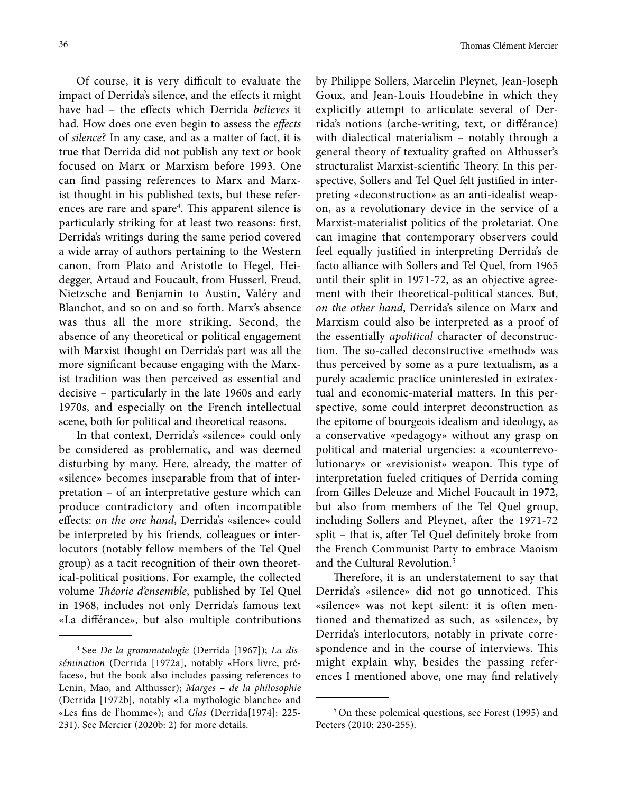Of course, it is very difficult to evaluate the impact of Derrida's silence, and the effects it might have had – the effects which Derrida *believes* it had. How does one even begin to assess the *effects* of *silence*? In any case, and as a matter of fact, it is true that Derrida did not publish any text or book focused on Marx or Marxism before 1993. One can find passing references to Marx and Marxist thought in his published texts, but these references are rare and spare4 . This apparent silence is particularly striking for at least two reasons: first, Derrida's writings during the same period covered a wide array of authors pertaining to the Western canon, from Plato and Aristotle to Hegel, Heidegger, Artaud and Foucault, from Husserl, Freud, Nietzsche and Benjamin to Austin, Valéry and Blanchot, and so on and so forth. Marx's absence was thus all the more striking. Second, the absence of any theoretical or political engagement with Marxist thought on Derrida's part was all the more significant because engaging with the Marxist tradition was then perceived as essential and decisive – particularly in the late 1960s and early 1970s, and especially on the French intellectual scene, both for political and theoretical reasons.

In that context, Derrida's «silence» could only be considered as problematic, and was deemed disturbing by many. Here, already, the matter of «silence» becomes inseparable from that of interpretation – of an interpretative gesture which can produce contradictory and often incompatible effects: *on the one hand*, Derrida's «silence» could be interpreted by his friends, colleagues or interlocutors (notably fellow members of the Tel Quel group) as a tacit recognition of their own theoretical-political positions. For example, the collected volume *Théorie d'ensemble*, published by Tel Quel in 1968, includes not only Derrida's famous text «La différance», but also multiple contributions

by Philippe Sollers, Marcelin Pleynet, Jean-Joseph Goux, and Jean-Louis Houdebine in which they explicitly attempt to articulate several of Derrida's notions (arche-writing, text, or différance) with dialectical materialism – notably through a general theory of textuality grafted on Althusser's structuralist Marxist-scientific Theory. In this perspective, Sollers and Tel Quel felt justified in interpreting «deconstruction» as an anti-idealist weapon, as a revolutionary device in the service of a Marxist-materialist politics of the proletariat. One can imagine that contemporary observers could feel equally justified in interpreting Derrida's de facto alliance with Sollers and Tel Quel, from 1965 until their split in 1971-72, as an objective agreement with their theoretical-political stances. But, *on the other hand*, Derrida's silence on Marx and Marxism could also be interpreted as a proof of the essentially *apolitical* character of deconstruction. The so-called deconstructive «method» was thus perceived by some as a pure textualism, as a purely academic practice uninterested in extratextual and economic-material matters. In this perspective, some could interpret deconstruction as the epitome of bourgeois idealism and ideology, as a conservative «pedagogy» without any grasp on political and material urgencies: a «counterrevolutionary» or «revisionist» weapon. This type of interpretation fueled critiques of Derrida coming from Gilles Deleuze and Michel Foucault in 1972, but also from members of the Tel Quel group, including Sollers and Pleynet, after the 1971-72 split – that is, after Tel Quel definitely broke from the French Communist Party to embrace Maoism and the Cultural Revolution.5

Therefore, it is an understatement to say that Derrida's «silence» did not go unnoticed. This «silence» was not kept silent: it is often mentioned and thematized as such, as «silence», by Derrida's interlocutors, notably in private correspondence and in the course of interviews. This might explain why, besides the passing references I mentioned above, one may find relatively

<sup>4</sup> See *De la grammatologie* (Derrida [1967]); *La dissémination* (Derrida [1972a], notably «Hors livre, préfaces», but the book also includes passing references to Lenin, Mao, and Althusser); *Marges – de la philosophie*  (Derrida [1972b], notably «La mythologie blanche» and «Les fins de l'homme»); and *Glas* (Derrida[1974]: 225- 231). See Mercier (2020b: 2) for more details.

<sup>5</sup> On these polemical questions, see Forest (1995) and Peeters (2010: 230-255).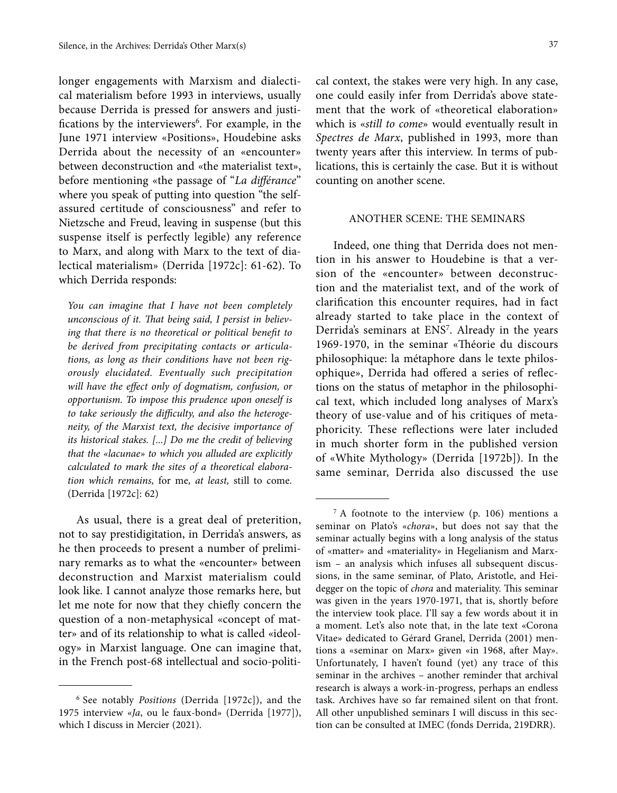longer engagements with Marxism and dialectical materialism before 1993 in interviews, usually because Derrida is pressed for answers and justifications by the interviewers<sup>6</sup>. For example, in the June 1971 interview «Positions», Houdebine asks Derrida about the necessity of an «encounter» between deconstruction and «the materialist text», before mentioning «the passage of "*La différance*" where you speak of putting into question "the selfassured certitude of consciousness" and refer to Nietzsche and Freud, leaving in suspense (but this suspense itself is perfectly legible) any reference to Marx, and along with Marx to the text of dialectical materialism» (Derrida [1972c]: 61-62). To which Derrida responds:

*You can imagine that I have not been completely unconscious of it. That being said, I persist in believing that there is no theoretical or political benefit to be derived from precipitating contacts or articulations, as long as their conditions have not been rigorously elucidated. Eventually such precipitation will have the effect only of dogmatism, confusion, or opportunism. To impose this prudence upon oneself is to take seriously the difficulty, and also the heterogeneity, of the Marxist text, the decisive importance of its historical stakes. [...] Do me the credit of believing that the «lacunae» to which you alluded are explicitly calculated to mark the sites of a theoretical elaboration which remains,* for me*, at least,* still to come*.*  (Derrida [1972c]: 62)

As usual, there is a great deal of preterition, not to say prestidigitation, in Derrida's answers, as he then proceeds to present a number of preliminary remarks as to what the «encounter» between deconstruction and Marxist materialism could look like. I cannot analyze those remarks here, but let me note for now that they chiefly concern the question of a non-metaphysical «concept of matter» and of its relationship to what is called «ideology» in Marxist language. One can imagine that, in the French post-68 intellectual and socio-politi-

cal context, the stakes were very high. In any case, one could easily infer from Derrida's above statement that the work of «theoretical elaboration» which is «*still to come*» would eventually result in *Spectres de Marx*, published in 1993, more than twenty years after this interview. In terms of publications, this is certainly the case. But it is without counting on another scene.

#### ANOTHER SCENE: THE SEMINARS

Indeed, one thing that Derrida does not mention in his answer to Houdebine is that a version of the «encounter» between deconstruction and the materialist text, and of the work of clarification this encounter requires, had in fact already started to take place in the context of Derrida's seminars at ENS<sup>7</sup>. Already in the years 1969-1970, in the seminar «Théorie du discours philosophique: la métaphore dans le texte philosophique», Derrida had offered a series of reflections on the status of metaphor in the philosophical text, which included long analyses of Marx's theory of use-value and of his critiques of metaphoricity. These reflections were later included in much shorter form in the published version of «White Mythology» (Derrida [1972b]). In the same seminar, Derrida also discussed the use

<sup>6</sup> See notably *Positions* (Derrida [1972c]), and the 1975 interview «*Ja*, ou le faux-bond» (Derrida [1977]), which I discuss in Mercier (2021).

 $7 A$  footnote to the interview (p. 106) mentions a seminar on Plato's «*chora*», but does not say that the seminar actually begins with a long analysis of the status of «matter» and «materiality» in Hegelianism and Marxism – an analysis which infuses all subsequent discussions, in the same seminar, of Plato, Aristotle, and Heidegger on the topic of *chora* and materiality. This seminar was given in the years 1970-1971, that is, shortly before the interview took place. I'll say a few words about it in a moment. Let's also note that, in the late text «Corona Vitae» dedicated to Gérard Granel, Derrida (2001) mentions a «seminar on Marx» given «in 1968, after May». Unfortunately, I haven't found (yet) any trace of this seminar in the archives – another reminder that archival research is always a work-in-progress, perhaps an endless task. Archives have so far remained silent on that front. All other unpublished seminars I will discuss in this section can be consulted at IMEC (fonds Derrida, 219DRR).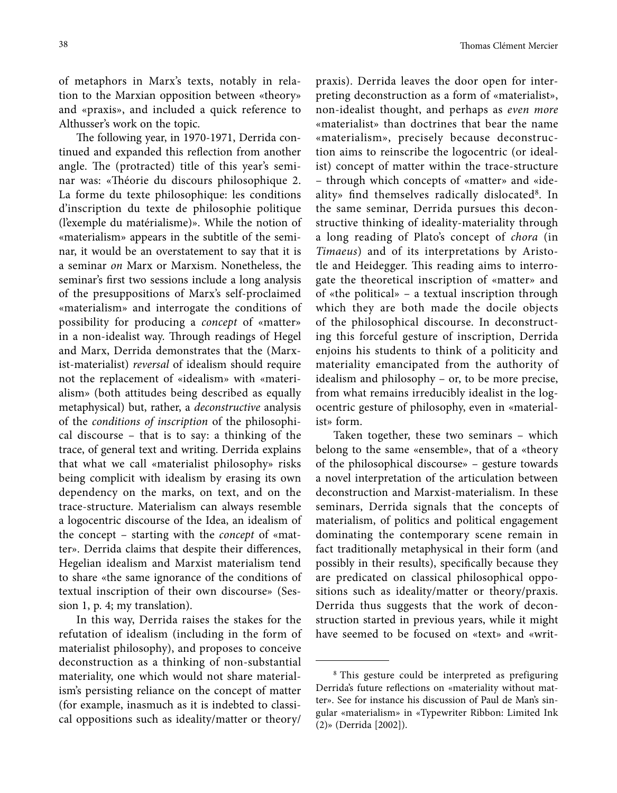of metaphors in Marx's texts, notably in relation to the Marxian opposition between «theory» and «praxis», and included a quick reference to Althusser's work on the topic.

The following year, in 1970-1971, Derrida continued and expanded this reflection from another angle. The (protracted) title of this year's seminar was: «Théorie du discours philosophique 2. La forme du texte philosophique: les conditions d'inscription du texte de philosophie politique (l'exemple du matérialisme)». While the notion of «materialism» appears in the subtitle of the seminar, it would be an overstatement to say that it is a seminar *on* Marx or Marxism. Nonetheless, the seminar's first two sessions include a long analysis of the presuppositions of Marx's self-proclaimed «materialism» and interrogate the conditions of possibility for producing a *concept* of «matter» in a non-idealist way. Through readings of Hegel and Marx, Derrida demonstrates that the (Marxist-materialist) *reversal* of idealism should require not the replacement of «idealism» with «materialism» (both attitudes being described as equally metaphysical) but, rather, a *deconstructive* analysis of the *conditions of inscription* of the philosophical discourse – that is to say: a thinking of the trace, of general text and writing. Derrida explains that what we call «materialist philosophy» risks being complicit with idealism by erasing its own dependency on the marks, on text, and on the trace-structure. Materialism can always resemble a logocentric discourse of the Idea, an idealism of the concept – starting with the *concept* of «matter». Derrida claims that despite their differences, Hegelian idealism and Marxist materialism tend to share «the same ignorance of the conditions of textual inscription of their own discourse» (Session 1, p. 4; my translation).

In this way, Derrida raises the stakes for the refutation of idealism (including in the form of materialist philosophy), and proposes to conceive deconstruction as a thinking of non-substantial materiality, one which would not share materialism's persisting reliance on the concept of matter (for example, inasmuch as it is indebted to classical oppositions such as ideality/matter or theory/

praxis). Derrida leaves the door open for interpreting deconstruction as a form of «materialist», non-idealist thought, and perhaps as *even more* «materialist» than doctrines that bear the name «materialism», precisely because deconstruction aims to reinscribe the logocentric (or idealist) concept of matter within the trace-structure – through which concepts of «matter» and «ideality» find themselves radically dislocated<sup>8</sup>. In the same seminar, Derrida pursues this deconstructive thinking of ideality-materiality through a long reading of Plato's concept of *chora* (in *Timaeus*) and of its interpretations by Aristotle and Heidegger. This reading aims to interrogate the theoretical inscription of «matter» and of «the political» – a textual inscription through which they are both made the docile objects of the philosophical discourse. In deconstructing this forceful gesture of inscription, Derrida enjoins his students to think of a politicity and materiality emancipated from the authority of idealism and philosophy – or, to be more precise, from what remains irreducibly idealist in the logocentric gesture of philosophy, even in «materialist» form.

Taken together, these two seminars – which belong to the same «ensemble», that of a «theory of the philosophical discourse» – gesture towards a novel interpretation of the articulation between deconstruction and Marxist-materialism. In these seminars, Derrida signals that the concepts of materialism, of politics and political engagement dominating the contemporary scene remain in fact traditionally metaphysical in their form (and possibly in their results), specifically because they are predicated on classical philosophical oppositions such as ideality/matter or theory/praxis. Derrida thus suggests that the work of deconstruction started in previous years, while it might have seemed to be focused on «text» and «writ-

<sup>&</sup>lt;sup>8</sup> This gesture could be interpreted as prefiguring Derrida's future reflections on «materiality without matter». See for instance his discussion of Paul de Man's singular «materialism» in «Typewriter Ribbon: Limited Ink (2)» (Derrida [2002]).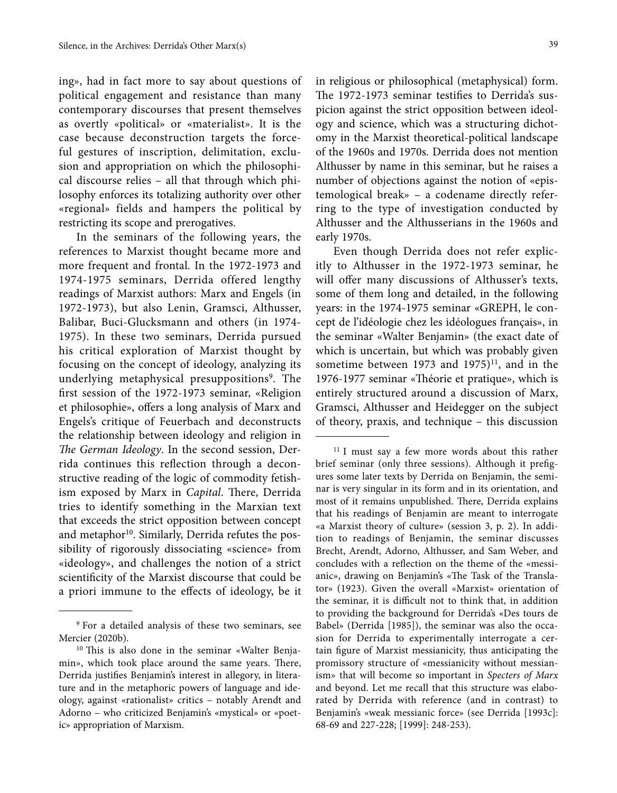ing», had in fact more to say about questions of political engagement and resistance than many contemporary discourses that present themselves as overtly «political» or «materialist». It is the case because deconstruction targets the forceful gestures of inscription, delimitation, exclusion and appropriation on which the philosophical discourse relies – all that through which philosophy enforces its totalizing authority over other «regional» fields and hampers the political by restricting its scope and prerogatives.

In the seminars of the following years, the references to Marxist thought became more and more frequent and frontal. In the 1972-1973 and 1974-1975 seminars, Derrida offered lengthy readings of Marxist authors: Marx and Engels (in 1972-1973), but also Lenin, Gramsci, Althusser, Balibar, Buci-Glucksmann and others (in 1974- 1975). In these two seminars, Derrida pursued his critical exploration of Marxist thought by focusing on the concept of ideology, analyzing its underlying metaphysical presuppositions<sup>9</sup>. The first session of the 1972-1973 seminar, «Religion et philosophie», offers a long analysis of Marx and Engels's critique of Feuerbach and deconstructs the relationship between ideology and religion in *The German Ideology*. In the second session, Derrida continues this reflection through a deconstructive reading of the logic of commodity fetishism exposed by Marx in *Capital*. There, Derrida tries to identify something in the Marxian text that exceeds the strict opposition between concept and metaphor $10$ . Similarly, Derrida refutes the possibility of rigorously dissociating «science» from «ideology», and challenges the notion of a strict scientificity of the Marxist discourse that could be a priori immune to the effects of ideology, be it in religious or philosophical (metaphysical) form. The 1972-1973 seminar testifies to Derrida's suspicion against the strict opposition between ideology and science, which was a structuring dichotomy in the Marxist theoretical-political landscape of the 1960s and 1970s. Derrida does not mention Althusser by name in this seminar, but he raises a number of objections against the notion of «epistemological break» – a codename directly referring to the type of investigation conducted by Althusser and the Althusserians in the 1960s and early 1970s.

Even though Derrida does not refer explicitly to Althusser in the 1972-1973 seminar, he will offer many discussions of Althusser's texts, some of them long and detailed, in the following years: in the 1974-1975 seminar «GREPH, le concept de l'idéologie chez les idéologues français», in the seminar «Walter Benjamin» (the exact date of which is uncertain, but which was probably given sometime between 1973 and 1975) $11$ , and in the 1976-1977 seminar «Théorie et pratique», which is entirely structured around a discussion of Marx, Gramsci, Althusser and Heidegger on the subject of theory, praxis, and technique – this discussion

<sup>9</sup> For a detailed analysis of these two seminars, see Mercier (2020b).

<sup>10</sup> This is also done in the seminar «Walter Benjamin», which took place around the same years. There, Derrida justifies Benjamin's interest in allegory, in literature and in the metaphoric powers of language and ideology, against «rationalist» critics – notably Arendt and Adorno – who criticized Benjamin's «mystical» or «poetic» appropriation of Marxism.

<sup>&</sup>lt;sup>11</sup> I must say a few more words about this rather brief seminar (only three sessions). Although it prefigures some later texts by Derrida on Benjamin, the seminar is very singular in its form and in its orientation, and most of it remains unpublished. There, Derrida explains that his readings of Benjamin are meant to interrogate «a Marxist theory of culture» (session 3, p. 2). In addition to readings of Benjamin, the seminar discusses Brecht, Arendt, Adorno, Althusser, and Sam Weber, and concludes with a reflection on the theme of the «messianic», drawing on Benjamin's «The Task of the Translator» (1923). Given the overall «Marxist» orientation of the seminar, it is difficult not to think that, in addition to providing the background for Derrida's «Des tours de Babel» (Derrida [1985]), the seminar was also the occasion for Derrida to experimentally interrogate a certain figure of Marxist messianicity, thus anticipating the promissory structure of «messianicity without messianism» that will become so important in *Specters of Marx* and beyond. Let me recall that this structure was elaborated by Derrida with reference (and in contrast) to Benjamin's «weak messianic force» (see Derrida [1993c]: 68-69 and 227-228; [1999]: 248-253).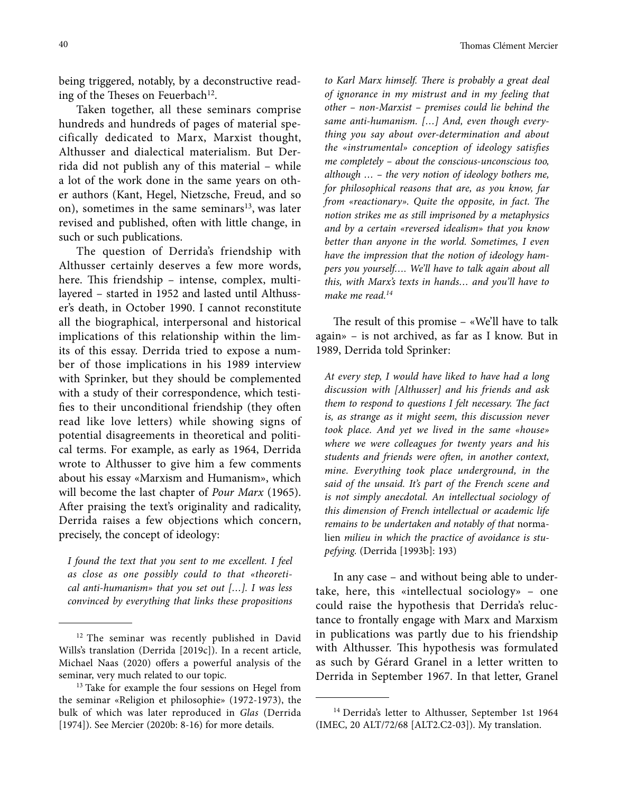being triggered, notably, by a deconstructive reading of the Theses on Feuerbach<sup>12</sup>.

Taken together, all these seminars comprise hundreds and hundreds of pages of material specifically dedicated to Marx, Marxist thought, Althusser and dialectical materialism. But Derrida did not publish any of this material – while a lot of the work done in the same years on other authors (Kant, Hegel, Nietzsche, Freud, and so on), sometimes in the same seminars $13$ , was later revised and published, often with little change, in such or such publications.

The question of Derrida's friendship with Althusser certainly deserves a few more words, here. This friendship – intense, complex, multilayered – started in 1952 and lasted until Althusser's death, in October 1990. I cannot reconstitute all the biographical, interpersonal and historical implications of this relationship within the limits of this essay. Derrida tried to expose a number of those implications in his 1989 interview with Sprinker, but they should be complemented with a study of their correspondence, which testifies to their unconditional friendship (they often read like love letters) while showing signs of potential disagreements in theoretical and political terms. For example, as early as 1964, Derrida wrote to Althusser to give him a few comments about his essay «Marxism and Humanism», which will become the last chapter of *Pour Marx* (1965). After praising the text's originality and radicality, Derrida raises a few objections which concern, precisely, the concept of ideology:

*I found the text that you sent to me excellent. I feel as close as one possibly could to that «theoretical anti-humanism» that you set out […]. I was less convinced by everything that links these propositions* 

*to Karl Marx himself. There is probably a great deal of ignorance in my mistrust and in my feeling that other – non-Marxist – premises could lie behind the same anti-humanism. […] And, even though everything you say about over-determination and about the «instrumental» conception of ideology satisfies me completely – about the conscious-unconscious too, although … – the very notion of ideology bothers me, for philosophical reasons that are, as you know, far from «reactionary». Quite the opposite, in fact. The notion strikes me as still imprisoned by a metaphysics and by a certain «reversed idealism» that you know better than anyone in the world. Sometimes, I even have the impression that the notion of ideology hampers you yourself…. We'll have to talk again about all this, with Marx's texts in hands… and you'll have to make me read.14*

The result of this promise – «We'll have to talk again» – is not archived, as far as I know. But in 1989, Derrida told Sprinker:

*At every step, I would have liked to have had a long discussion with [Althusser] and his friends and ask them to respond to questions I felt necessary. The fact is, as strange as it might seem, this discussion never took place. And yet we lived in the same «house» where we were colleagues for twenty years and his students and friends were often, in another context, mine. Everything took place underground, in the said of the unsaid. It's part of the French scene and is not simply anecdotal. An intellectual sociology of this dimension of French intellectual or academic life remains to be undertaken and notably of that* normalien *milieu in which the practice of avoidance is stupefying.* (Derrida [1993b]: 193)

In any case – and without being able to undertake, here, this «intellectual sociology» – one could raise the hypothesis that Derrida's reluctance to frontally engage with Marx and Marxism in publications was partly due to his friendship with Althusser. This hypothesis was formulated as such by Gérard Granel in a letter written to Derrida in September 1967. In that letter, Granel

40 Thomas Clément Mercier

<sup>&</sup>lt;sup>12</sup> The seminar was recently published in David Wills's translation (Derrida [2019c]). In a recent article, Michael Naas (2020) offers a powerful analysis of the seminar, very much related to our topic.

<sup>&</sup>lt;sup>13</sup> Take for example the four sessions on Hegel from the seminar «Religion et philosophie» (1972-1973), the bulk of which was later reproduced in *Glas* (Derrida [1974]). See Mercier (2020b: 8-16) for more details.

<sup>&</sup>lt;sup>14</sup> Derrida's letter to Althusser, September 1st 1964 (IMEC, 20 ALT/72/68 [ALT2.C2-03]). My translation.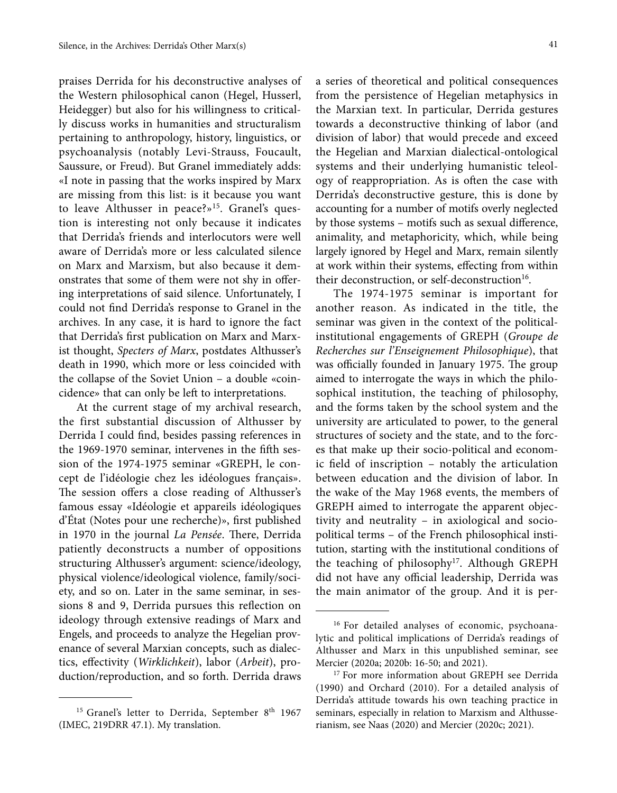praises Derrida for his deconstructive analyses of the Western philosophical canon (Hegel, Husserl, Heidegger) but also for his willingness to critically discuss works in humanities and structuralism pertaining to anthropology, history, linguistics, or psychoanalysis (notably Levi-Strauss, Foucault, Saussure, or Freud). But Granel immediately adds: «I note in passing that the works inspired by Marx are missing from this list: is it because you want to leave Althusser in peace?»<sup>15</sup>. Granel's question is interesting not only because it indicates that Derrida's friends and interlocutors were well aware of Derrida's more or less calculated silence on Marx and Marxism, but also because it demonstrates that some of them were not shy in offering interpretations of said silence. Unfortunately, I could not find Derrida's response to Granel in the archives. In any case, it is hard to ignore the fact that Derrida's first publication on Marx and Marxist thought, *Specters of Marx*, postdates Althusser's death in 1990, which more or less coincided with the collapse of the Soviet Union – a double «coincidence» that can only be left to interpretations.

At the current stage of my archival research, the first substantial discussion of Althusser by Derrida I could find, besides passing references in the 1969-1970 seminar, intervenes in the fifth session of the 1974-1975 seminar «GREPH, le concept de l'idéologie chez les idéologues français». The session offers a close reading of Althusser's famous essay «Idéologie et appareils idéologiques d'État (Notes pour une recherche)», first published in 1970 in the journal *La Pensée*. There, Derrida patiently deconstructs a number of oppositions structuring Althusser's argument: science/ideology, physical violence/ideological violence, family/society, and so on. Later in the same seminar, in sessions 8 and 9, Derrida pursues this reflection on ideology through extensive readings of Marx and Engels, and proceeds to analyze the Hegelian provenance of several Marxian concepts, such as dialectics, effectivity (*Wirklichkeit*), labor (*Arbeit*), production/reproduction, and so forth. Derrida draws

a series of theoretical and political consequences from the persistence of Hegelian metaphysics in the Marxian text. In particular, Derrida gestures towards a deconstructive thinking of labor (and division of labor) that would precede and exceed the Hegelian and Marxian dialectical-ontological systems and their underlying humanistic teleology of reappropriation. As is often the case with Derrida's deconstructive gesture, this is done by accounting for a number of motifs overly neglected by those systems – motifs such as sexual difference, animality, and metaphoricity, which, while being largely ignored by Hegel and Marx, remain silently at work within their systems, effecting from within their deconstruction, or self-deconstruction<sup>16</sup>.

The 1974-1975 seminar is important for another reason. As indicated in the title, the seminar was given in the context of the politicalinstitutional engagements of GREPH (*Groupe de Recherches sur l'Enseignement Philosophique*), that was officially founded in January 1975. The group aimed to interrogate the ways in which the philosophical institution, the teaching of philosophy, and the forms taken by the school system and the university are articulated to power, to the general structures of society and the state, and to the forces that make up their socio-political and economic field of inscription – notably the articulation between education and the division of labor. In the wake of the May 1968 events, the members of GREPH aimed to interrogate the apparent objectivity and neutrality – in axiological and sociopolitical terms – of the French philosophical institution, starting with the institutional conditions of the teaching of philosophy<sup>17</sup>. Although GREPH did not have any official leadership, Derrida was the main animator of the group. And it is per-

<sup>&</sup>lt;sup>15</sup> Granel's letter to Derrida, September 8<sup>th</sup> 1967 (IMEC, 219DRR 47.1). My translation.

<sup>16</sup> For detailed analyses of economic, psychoanalytic and political implications of Derrida's readings of Althusser and Marx in this unpublished seminar, see Mercier (2020a; 2020b: 16-50; and 2021).

<sup>&</sup>lt;sup>17</sup> For more information about GREPH see Derrida (1990) and Orchard (2010). For a detailed analysis of Derrida's attitude towards his own teaching practice in seminars, especially in relation to Marxism and Althusserianism, see Naas (2020) and Mercier (2020c; 2021).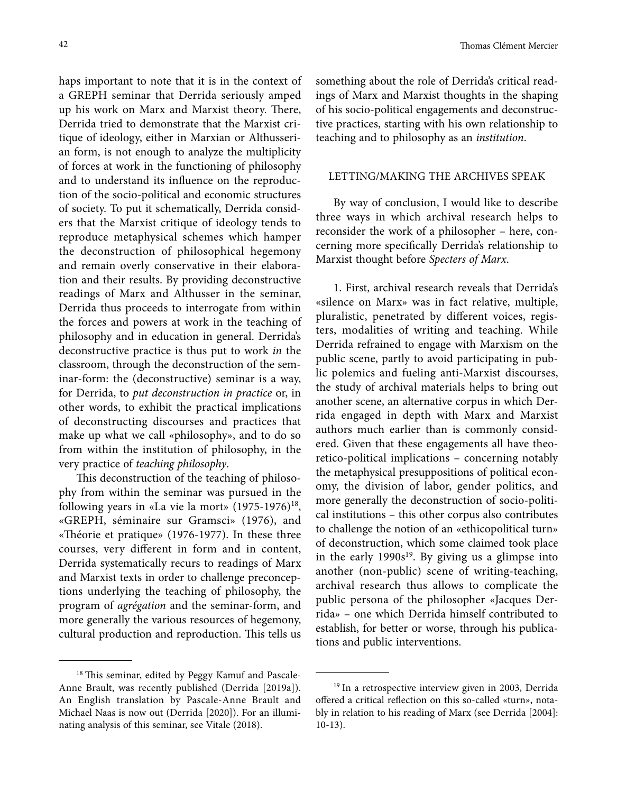haps important to note that it is in the context of a GREPH seminar that Derrida seriously amped up his work on Marx and Marxist theory. There, Derrida tried to demonstrate that the Marxist critique of ideology, either in Marxian or Althusserian form, is not enough to analyze the multiplicity of forces at work in the functioning of philosophy and to understand its influence on the reproduction of the socio-political and economic structures of society. To put it schematically, Derrida considers that the Marxist critique of ideology tends to reproduce metaphysical schemes which hamper the deconstruction of philosophical hegemony and remain overly conservative in their elaboration and their results. By providing deconstructive readings of Marx and Althusser in the seminar, Derrida thus proceeds to interrogate from within the forces and powers at work in the teaching of philosophy and in education in general. Derrida's deconstructive practice is thus put to work *in* the classroom, through the deconstruction of the seminar-form: the (deconstructive) seminar is a way, for Derrida, to *put deconstruction in practice* or, in other words, to exhibit the practical implications of deconstructing discourses and practices that make up what we call «philosophy», and to do so from within the institution of philosophy, in the very practice of *teaching philosophy*.

This deconstruction of the teaching of philosophy from within the seminar was pursued in the following years in «La vie la mort»  $(1975-1976)^{18}$ , «GREPH, séminaire sur Gramsci» (1976), and «Théorie et pratique» (1976-1977). In these three courses, very different in form and in content, Derrida systematically recurs to readings of Marx and Marxist texts in order to challenge preconceptions underlying the teaching of philosophy, the program of *agrégation* and the seminar-form, and more generally the various resources of hegemony, cultural production and reproduction. This tells us something about the role of Derrida's critical readings of Marx and Marxist thoughts in the shaping of his socio-political engagements and deconstructive practices, starting with his own relationship to teaching and to philosophy as an *institution*.

#### LETTING/MAKING THE ARCHIVES SPEAK

By way of conclusion, I would like to describe three ways in which archival research helps to reconsider the work of a philosopher – here, concerning more specifically Derrida's relationship to Marxist thought before *Specters of Marx*.

1. First, archival research reveals that Derrida's «silence on Marx» was in fact relative, multiple, pluralistic, penetrated by different voices, registers, modalities of writing and teaching. While Derrida refrained to engage with Marxism on the public scene, partly to avoid participating in public polemics and fueling anti-Marxist discourses, the study of archival materials helps to bring out another scene, an alternative corpus in which Derrida engaged in depth with Marx and Marxist authors much earlier than is commonly considered. Given that these engagements all have theoretico-political implications – concerning notably the metaphysical presuppositions of political economy, the division of labor, gender politics, and more generally the deconstruction of socio-political institutions – this other corpus also contributes to challenge the notion of an «ethicopolitical turn» of deconstruction, which some claimed took place in the early  $1990s^{19}$ . By giving us a glimpse into another (non-public) scene of writing-teaching, archival research thus allows to complicate the public persona of the philosopher «Jacques Derrida» – one which Derrida himself contributed to establish, for better or worse, through his publications and public interventions.

<sup>18</sup> This seminar, edited by Peggy Kamuf and Pascale-Anne Brault, was recently published (Derrida [2019a]). An English translation by Pascale-Anne Brault and Michael Naas is now out (Derrida [2020]). For an illuminating analysis of this seminar, see Vitale (2018).

<sup>&</sup>lt;sup>19</sup> In a retrospective interview given in 2003, Derrida offered a critical reflection on this so-called «turn», notably in relation to his reading of Marx (see Derrida [2004]: 10-13).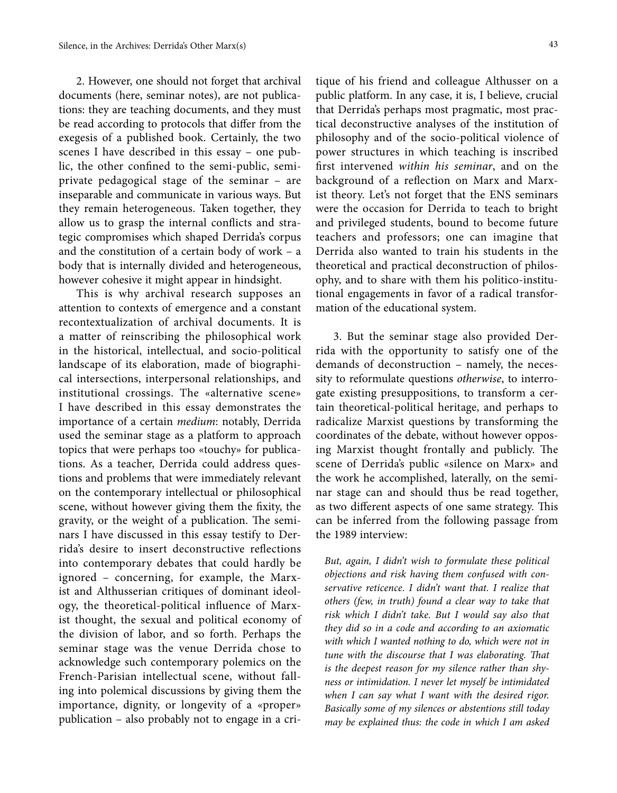2. However, one should not forget that archival documents (here, seminar notes), are not publications: they are teaching documents, and they must be read according to protocols that differ from the exegesis of a published book. Certainly, the two scenes I have described in this essay – one public, the other confined to the semi-public, semiprivate pedagogical stage of the seminar – are inseparable and communicate in various ways. But they remain heterogeneous. Taken together, they allow us to grasp the internal conflicts and strategic compromises which shaped Derrida's corpus and the constitution of a certain body of work – a body that is internally divided and heterogeneous, however cohesive it might appear in hindsight.

This is why archival research supposes an attention to contexts of emergence and a constant recontextualization of archival documents. It is a matter of reinscribing the philosophical work in the historical, intellectual, and socio-political landscape of its elaboration, made of biographical intersections, interpersonal relationships, and institutional crossings. The «alternative scene» I have described in this essay demonstrates the importance of a certain *medium*: notably, Derrida used the seminar stage as a platform to approach topics that were perhaps too «touchy» for publications. As a teacher, Derrida could address questions and problems that were immediately relevant on the contemporary intellectual or philosophical scene, without however giving them the fixity, the gravity, or the weight of a publication. The seminars I have discussed in this essay testify to Derrida's desire to insert deconstructive reflections into contemporary debates that could hardly be ignored – concerning, for example, the Marxist and Althusserian critiques of dominant ideology, the theoretical-political influence of Marxist thought, the sexual and political economy of the division of labor, and so forth. Perhaps the seminar stage was the venue Derrida chose to acknowledge such contemporary polemics on the French-Parisian intellectual scene, without falling into polemical discussions by giving them the importance, dignity, or longevity of a «proper» publication – also probably not to engage in a critique of his friend and colleague Althusser on a public platform. In any case, it is, I believe, crucial that Derrida's perhaps most pragmatic, most practical deconstructive analyses of the institution of philosophy and of the socio-political violence of power structures in which teaching is inscribed first intervened *within his seminar*, and on the background of a reflection on Marx and Marxist theory. Let's not forget that the ENS seminars were the occasion for Derrida to teach to bright and privileged students, bound to become future teachers and professors; one can imagine that Derrida also wanted to train his students in the theoretical and practical deconstruction of philosophy, and to share with them his politico-institutional engagements in favor of a radical transformation of the educational system.

3. But the seminar stage also provided Derrida with the opportunity to satisfy one of the demands of deconstruction – namely, the necessity to reformulate questions *otherwise*, to interrogate existing presuppositions, to transform a certain theoretical-political heritage, and perhaps to radicalize Marxist questions by transforming the coordinates of the debate, without however opposing Marxist thought frontally and publicly. The scene of Derrida's public «silence on Marx» and the work he accomplished, laterally, on the seminar stage can and should thus be read together, as two different aspects of one same strategy. This can be inferred from the following passage from the 1989 interview:

*But, again, I didn't wish to formulate these political objections and risk having them confused with conservative reticence. I didn't want that. I realize that others (few, in truth) found a clear way to take that risk which I didn't take. But I would say also that they did so in a code and according to an axiomatic with which I wanted nothing to do, which were not in tune with the discourse that I was elaborating. That is the deepest reason for my silence rather than shyness or intimidation. I never let myself be intimidated when I can say what I want with the desired rigor. Basically some of my silences or abstentions still today may be explained thus: the code in which I am asked*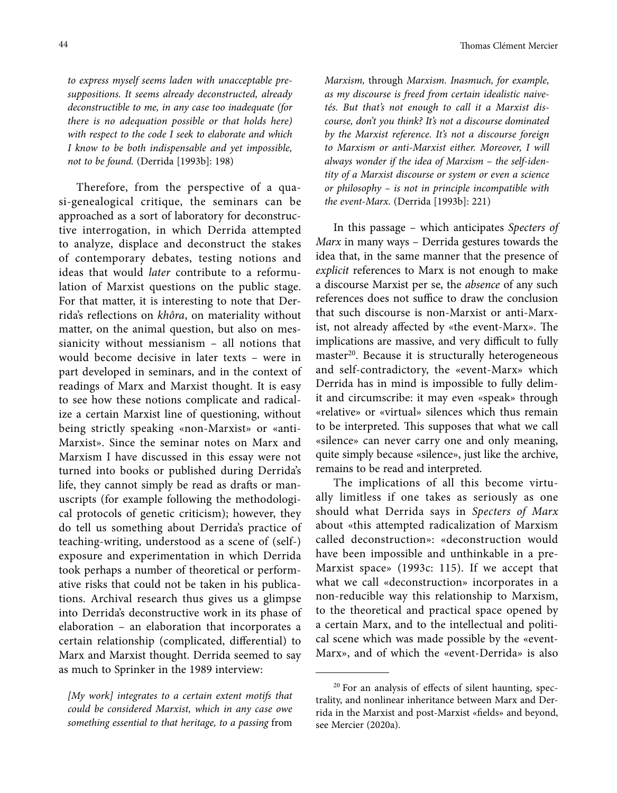*to express myself seems laden with unacceptable presuppositions. It seems already deconstructed, already deconstructible to me, in any case too inadequate (for there is no adequation possible or that holds here) with respect to the code I seek to elaborate and which I know to be both indispensable and yet impossible, not to be found.* (Derrida [1993b]: 198)

Therefore, from the perspective of a quasi-genealogical critique, the seminars can be approached as a sort of laboratory for deconstructive interrogation, in which Derrida attempted to analyze, displace and deconstruct the stakes of contemporary debates, testing notions and ideas that would *later* contribute to a reformulation of Marxist questions on the public stage. For that matter, it is interesting to note that Derrida's reflections on *khôra*, on materiality without matter, on the animal question, but also on messianicity without messianism – all notions that would become decisive in later texts – were in part developed in seminars, and in the context of readings of Marx and Marxist thought. It is easy to see how these notions complicate and radicalize a certain Marxist line of questioning, without being strictly speaking «non-Marxist» or «anti-Marxist». Since the seminar notes on Marx and Marxism I have discussed in this essay were not turned into books or published during Derrida's life, they cannot simply be read as drafts or manuscripts (for example following the methodological protocols of genetic criticism); however, they do tell us something about Derrida's practice of teaching-writing, understood as a scene of (self-) exposure and experimentation in which Derrida took perhaps a number of theoretical or performative risks that could not be taken in his publications. Archival research thus gives us a glimpse into Derrida's deconstructive work in its phase of elaboration – an elaboration that incorporates a certain relationship (complicated, differential) to Marx and Marxist thought. Derrida seemed to say as much to Sprinker in the 1989 interview:

*[My work] integrates to a certain extent motifs that could be considered Marxist, which in any case owe something essential to that heritage, to a passing* from

*Marxism,* through *Marxism. Inasmuch, for example, as my discourse is freed from certain idealistic naivetés. But that's not enough to call it a Marxist discourse, don't you think? It's not a discourse dominated by the Marxist reference. It's not a discourse foreign to Marxism or anti-Marxist either. Moreover, I will always wonder if the idea of Marxism – the self-identity of a Marxist discourse or system or even a science or philosophy – is not in principle incompatible with the event-Marx.* (Derrida [1993b]: 221)

In this passage – which anticipates *Specters of Marx* in many ways – Derrida gestures towards the idea that, in the same manner that the presence of *explicit* references to Marx is not enough to make a discourse Marxist per se, the *absence* of any such references does not suffice to draw the conclusion that such discourse is non-Marxist or anti-Marxist, not already affected by «the event-Marx». The implications are massive, and very difficult to fully master<sup>20</sup>. Because it is structurally heterogeneous and self-contradictory, the «event-Marx» which Derrida has in mind is impossible to fully delimit and circumscribe: it may even «speak» through «relative» or «virtual» silences which thus remain to be interpreted. This supposes that what we call «silence» can never carry one and only meaning, quite simply because «silence», just like the archive, remains to be read and interpreted.

The implications of all this become virtually limitless if one takes as seriously as one should what Derrida says in *Specters of Marx* about «this attempted radicalization of Marxism called deconstruction»: «deconstruction would have been impossible and unthinkable in a pre-Marxist space» (1993c: 115). If we accept that what we call «deconstruction» incorporates in a non-reducible way this relationship to Marxism, to the theoretical and practical space opened by a certain Marx, and to the intellectual and political scene which was made possible by the «event-Marx», and of which the «event-Derrida» is also

<sup>20</sup> For an analysis of effects of silent haunting, spectrality, and nonlinear inheritance between Marx and Derrida in the Marxist and post-Marxist «fields» and beyond, see Mercier (2020a).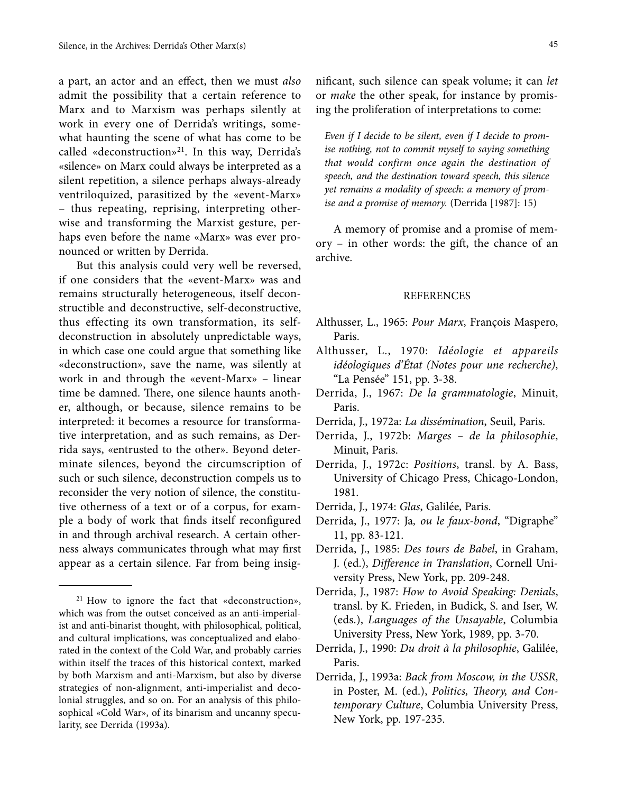a part, an actor and an effect, then we must *also* admit the possibility that a certain reference to Marx and to Marxism was perhaps silently at work in every one of Derrida's writings, somewhat haunting the scene of what has come to be called «deconstruction»<sup>21</sup>. In this way, Derrida's «silence» on Marx could always be interpreted as a silent repetition, a silence perhaps always-already ventriloquized, parasitized by the «event-Marx» – thus repeating, reprising, interpreting otherwise and transforming the Marxist gesture, perhaps even before the name «Marx» was ever pronounced or written by Derrida.

But this analysis could very well be reversed, if one considers that the «event-Marx» was and remains structurally heterogeneous, itself deconstructible and deconstructive, self-deconstructive, thus effecting its own transformation, its selfdeconstruction in absolutely unpredictable ways, in which case one could argue that something like «deconstruction», save the name, was silently at work in and through the «event-Marx» – linear time be damned. There, one silence haunts another, although, or because, silence remains to be interpreted: it becomes a resource for transformative interpretation, and as such remains, as Derrida says, «entrusted to the other». Beyond determinate silences, beyond the circumscription of such or such silence, deconstruction compels us to reconsider the very notion of silence, the constitutive otherness of a text or of a corpus, for example a body of work that finds itself reconfigured in and through archival research. A certain otherness always communicates through what may first appear as a certain silence. Far from being insignificant, such silence can speak volume; it can *let* or *make* the other speak, for instance by promising the proliferation of interpretations to come:

*Even if I decide to be silent, even if I decide to promise nothing, not to commit myself to saying something that would confirm once again the destination of speech, and the destination toward speech, this silence yet remains a modality of speech: a memory of promise and a promise of memory.* (Derrida [1987]: 15)

A memory of promise and a promise of memory – in other words: the gift, the chance of an archive.

#### REFERENCES

- Althusser, L., 1965: *Pour Marx*, François Maspero, Paris.
- Althusser, L., 1970: *Idéologie et appareils idéologiques d'État (Notes pour une recherche)*, "La Pensée" 151, pp. 3-38.
- Derrida, J., 1967: *De la grammatologie*, Minuit, Paris.
- Derrida, J., 1972a: *La dissémination*, Seuil, Paris.
- Derrida, J., 1972b: *Marges de la philosophie*, Minuit, Paris.
- Derrida, J., 1972c: *Positions*, transl. by A. Bass, University of Chicago Press, Chicago-London, 1981.
- Derrida, J., 1974: *Glas*, Galilée, Paris.
- Derrida, J., 1977: Ja*, ou le faux-bond*, "Digraphe" 11, pp. 83-121.
- Derrida, J., 1985: *Des tours de Babel*, in Graham, J. (ed.), *Difference in Translation*, Cornell University Press, New York, pp. 209-248.
- Derrida, J., 1987: *How to Avoid Speaking: Denials*, transl. by K. Frieden, in Budick, S. and Iser, W. (eds.), *Languages of the Unsayable*, Columbia University Press, New York, 1989, pp. 3-70.
- Derrida, J., 1990: *Du droit à la philosophie*, Galilée, Paris.
- Derrida, J., 1993a: *Back from Moscow, in the USSR*, in Poster, M. (ed.), *Politics, Theory, and Contemporary Culture*, Columbia University Press, New York, pp. 197-235.

<sup>21</sup> How to ignore the fact that «deconstruction», which was from the outset conceived as an anti-imperialist and anti-binarist thought, with philosophical, political, and cultural implications, was conceptualized and elaborated in the context of the Cold War, and probably carries within itself the traces of this historical context, marked by both Marxism and anti-Marxism, but also by diverse strategies of non-alignment, anti-imperialist and decolonial struggles, and so on. For an analysis of this philosophical «Cold War», of its binarism and uncanny specularity, see Derrida (1993a).